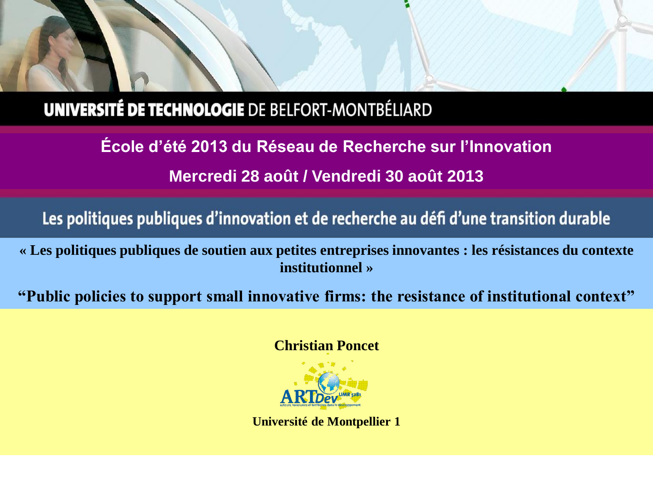## **UNIVERSITÉ DE TECHNOLOGIE DE BELFORT-MONTBÉLIARD**

**École d'été 2013 du Réseau de Recherche sur l'Innovation Mercredi 28 août / Vendredi 30 août 2013**

Les politiques publiques d'innovation et de recherche au défi d'une transition durable

**« Les politiques publiques de soutien aux petites entreprises innovantes : les résistances du contexte institutionnel »**

**"Public policies to support small innovative firms: the resistance of institutional context"**

**Christian Poncet**



**Université de Montpellier 1**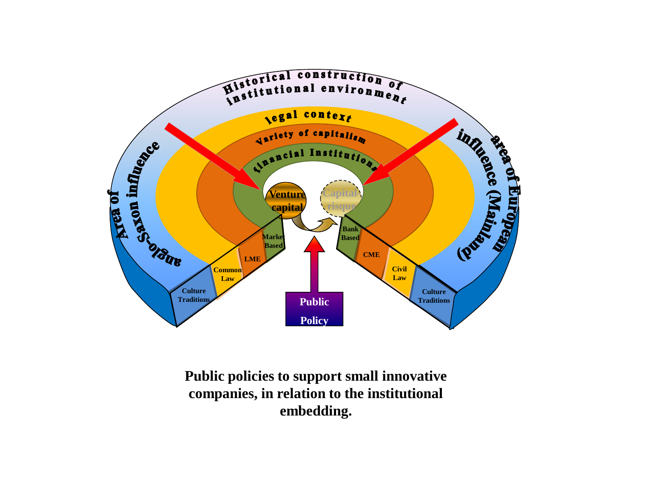

**Public policies to support small innovative companies, in relation to the institutional embedding.**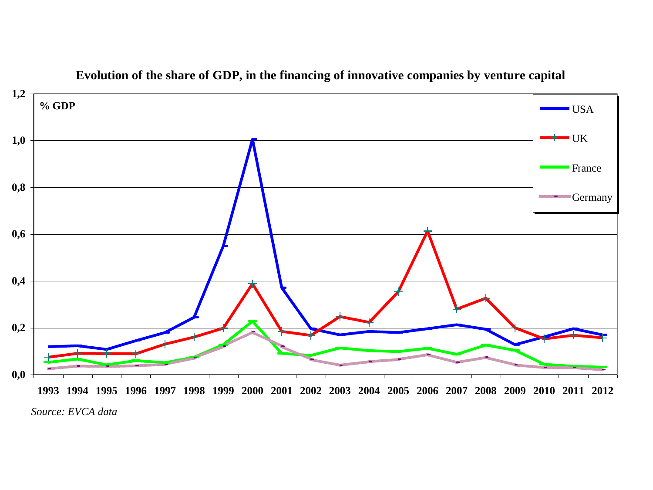

**Evolution of the share of GDP, in the financing of innovative companies by venture capital**

*Source: EVCA data*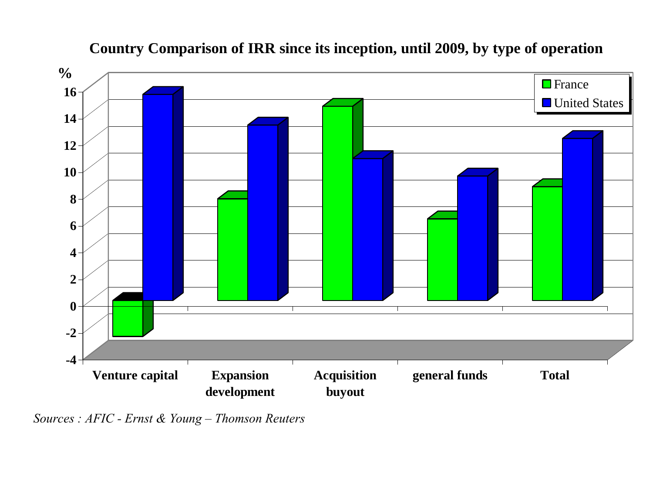

### **Country Comparison of IRR since its inception, until 2009, by type of operation**

*Sources : AFIC - Ernst & Young – Thomson Reuters*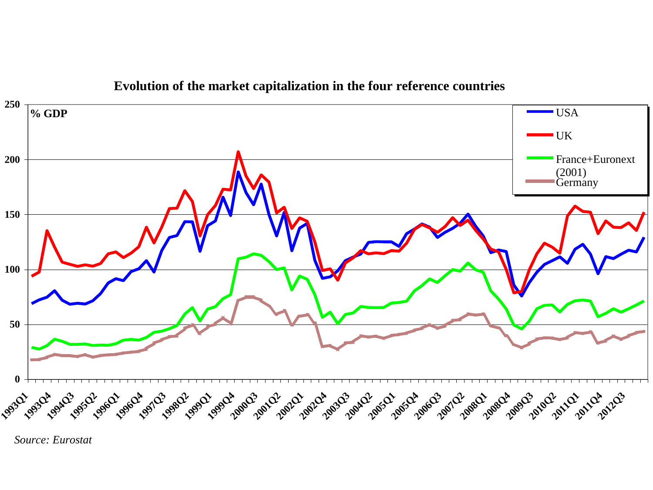

**Evolution of the market capitalization in the four reference countries**

*Source: Eurostat*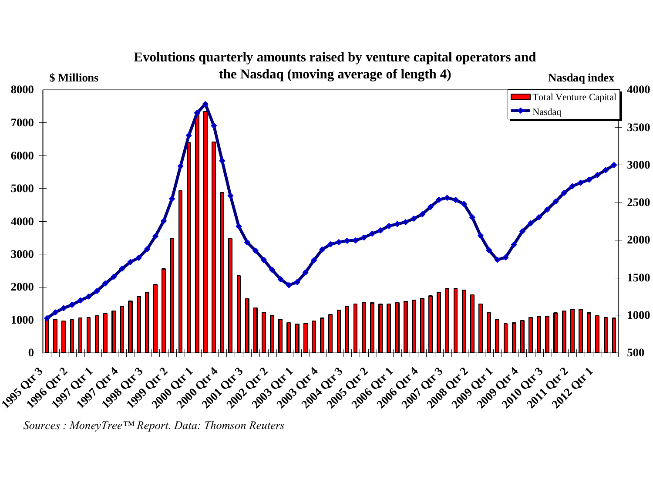

*Sources : MoneyTree™ Report. Data: Thomson Reuters*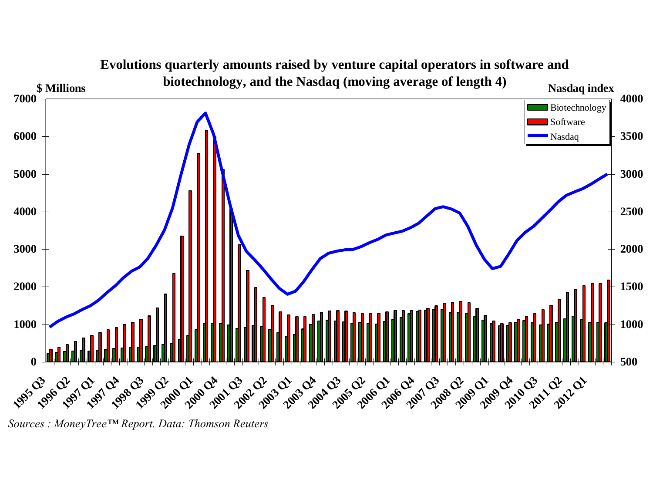

*Sources : MoneyTree™ Report. Data: Thomson Reuters*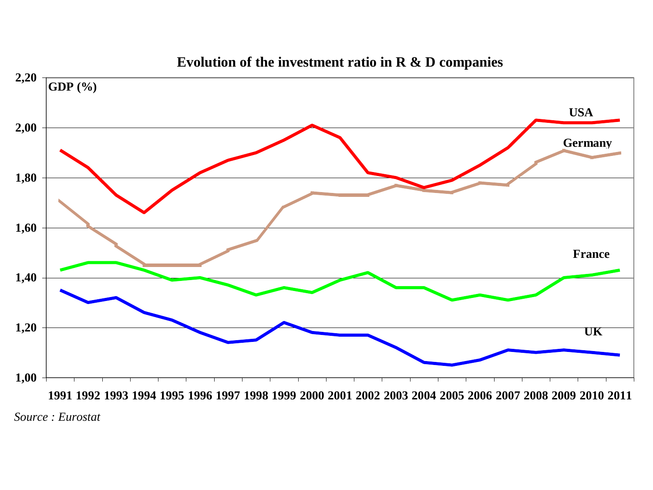

**Evolution of the investment ratio in R & D companies** 

*Source : Eurostat*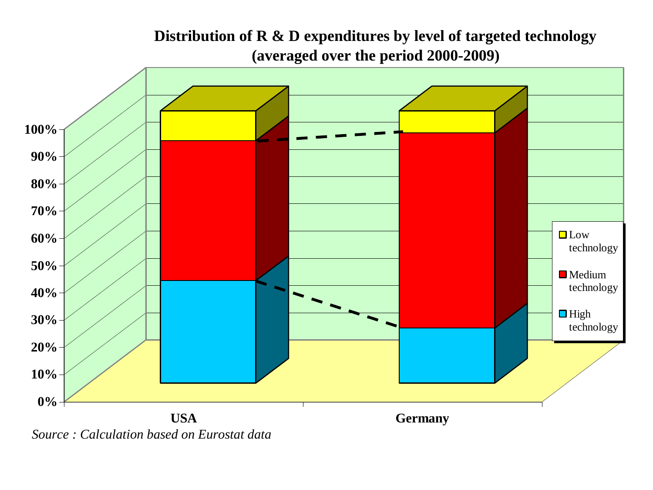

## **Distribution of R & D expenditures by level of targeted technology (averaged over the period 2000-2009)**

*Source : Calculation based on Eurostat data*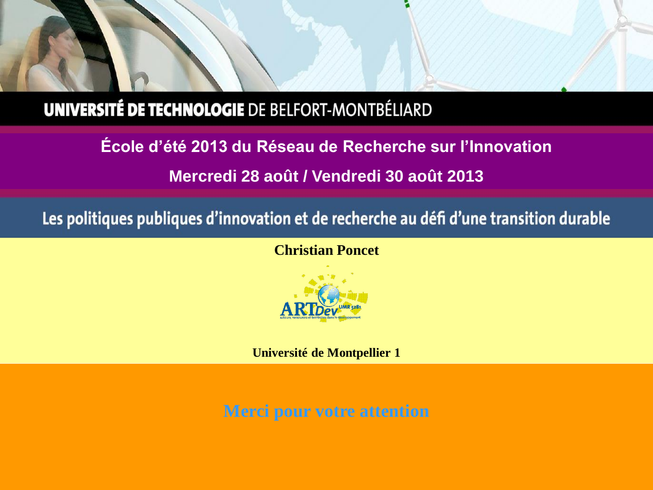# **UNIVERSITÉ DE TECHNOLOGIE DE BELFORT-MONTBÉLIARD**

**École d'été 2013 du Réseau de Recherche sur l'Innovation Mercredi 28 août / Vendredi 30 août 2013**

Les politiques publiques d'innovation et de recherche au défi d'une transition durable

**Christian Poncet**



**Université de Montpellier 1**

**Merci pour votre attention**